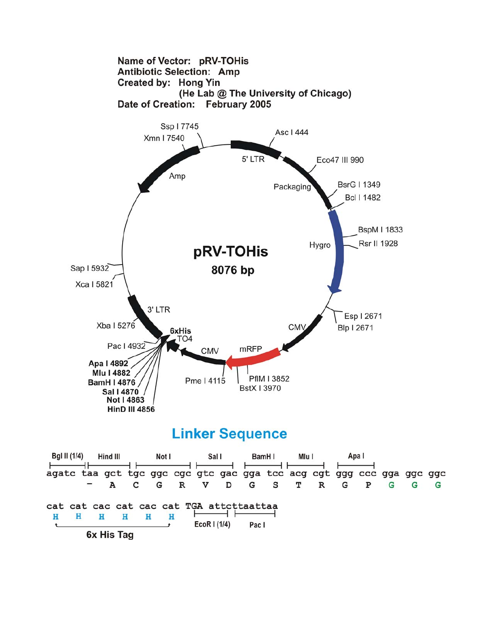

## **Linker Sequence**

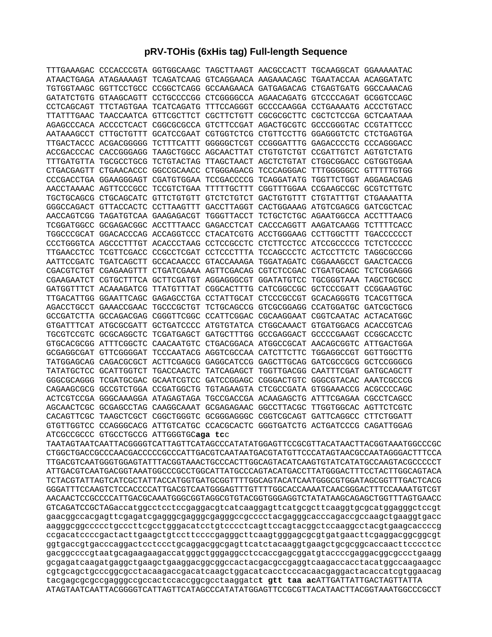## **pRV-TOHis (6xHis tag) Full-length Sequence**

|                       |                       |                                        | TTTGAAAGAC CCCACCCGTA GGTGGCAAGC TAGCTTAAGT AACGCCACTT TGCAAGGCAT GGAAAAATAC |  |  |
|-----------------------|-----------------------|----------------------------------------|------------------------------------------------------------------------------|--|--|
|                       |                       |                                        | ATAACTGAGA ATAGAAAAGT TCAGATCAAG GTCAGGAACA AAGAAACAGC TGAATACCAA ACAGGATATC |  |  |
|                       |                       |                                        | TGTGGTAAGC GGTTCCTGCC CCGGCTCAGG GCCAAGAACA GATGAGACAG CTGAGTGATG GGCCAAACAG |  |  |
|                       |                       |                                        | GATATCTGTG GTAAGCAGTT CCTGCCCCGG CTCGGGGCCA AGAACAGATG GTCCCCAGAT GCGGTCCAGC |  |  |
|                       |                       |                                        | CCTCAGCAGT TTCTAGTGAA TCATCAGATG TTTCCAGGGT GCCCCAAGGA CCTGAAAATG ACCCTGTACC |  |  |
|                       |                       |                                        | TTATTTGAAC TAACCAATCA GTTCGCTTCT CGCTTCTGTT CGCGCGCTTC CGCTCTCCGA GCTCAATAAA |  |  |
| AGAGCCCACA ACCCCTCACT |                       |                                        | CGGCGCGCCA GTCTTCCGAT AGACTGCGTC GCCCGGGTAC CCGTATTCCC                       |  |  |
| AATAAAGCCT CTTGCTGTTT |                       |                                        | GCATCCGAAT CGTGGTCTCG CTGTTCCTTG GGAGGGTCTC CTCTGAGTGA                       |  |  |
|                       |                       |                                        | TTGACTACCC ACGACGGGGG TCTTTCATTT GGGGGCTCGT CCGGGATTTG GAGACCCCTG CCCAGGGACC |  |  |
|                       |                       |                                        | ACCGACCCAC CACCGGGAGG TAAGCTGGCC AGCAACTTAT CTGTGTCTGT CCGATTGTCT AGTGTCTATG |  |  |
|                       |                       |                                        | TTTGATGTTA TGCGCCTGCG TCTGTACTAG TTAGCTAACT AGCTCTGTAT CTGGCGGACC CGTGGTGGAA |  |  |
|                       |                       |                                        | CTGACGAGTT CTGAACACCC GGCCGCAACC CTGGGAGACG TCCCAGGGAC TTTGGGGGCC GTTTTTGTGG |  |  |
|                       |                       |                                        | CCCGACCTGA GGAAGGGAGT CGATGTGGAA TCCGACCCCG TCAGGATATG TGGTTCTGGT AGGAGACGAG |  |  |
|                       |                       |                                        | AACCTAAAAC AGTTCCCGCC TCCGTCTGAA TTTTTGCTTT CGGTTTGGAA CCGAAGCCGC GCGTCTTGTC |  |  |
|                       |                       |                                        | TGCTGCAGCG CTGCAGCATC GTTCTGTGTT GTCTCTGTCT GACTGTGTTT CTGTATTTGT CTGAAAATTA |  |  |
|                       |                       |                                        | GGGCCAGACT GTTACCACTC CCTTAAGTTT GACCTTAGGT CACTGGAAAG ATGTCGAGCG GATCGCTCAC |  |  |
|                       |                       |                                        |                                                                              |  |  |
|                       |                       |                                        | TCGGATGGCC GCGAGACGGC ACCTTTAACC GAGACCTCAT CACCCAGGTT AAGATCAAGG TCTTTTCACC |  |  |
|                       |                       |                                        | TGGCCCGCAT GGACACCCAG ACCAGGTCCC CTACATCGTG ACCTGGGAAG CCTTGGCTTT TGACCCCCCT |  |  |
|                       |                       |                                        | CCCTGGGTCA AGCCCTTTGT ACACCCTAAG CCTCCGCCTC CTCTTCCTCC ATCCGCCCCG TCTCTCCCCC |  |  |
|                       |                       |                                        | TTGAACCTCC TCGTTCGACC CCGCCTCGAT CCTCCCTTTA TCCAGCCCTC ACTCCTTCTC TAGGCGCCGG |  |  |
|                       |                       |                                        | AATTCCGATC TGATCAGCTT GCCACAACCC GTACCAAAGA TGGATAGATC CGGAAAGCCT GAACTCACCG |  |  |
|                       |                       |                                        | CGACGTCTGT CGAGAAGTTT CTGATCGAAA AGTTCGACAG CGTCTCCGAC CTGATGCAGC TCTCGGAGGG |  |  |
|                       |                       |                                        | CGAAGAATCT CGTGCTTTCA GCTTCGATGT AGGAGGGCGT GGATATGTCC TGCGGGTAAA TAGCTGCGCC |  |  |
|                       |                       |                                        | GATGGTTTCT ACAAAGATCG TTATGTTTAT CGGCACTTTG CATCGGCCGC GCTCCCGATT CCGGAAGTGC |  |  |
|                       |                       |                                        | TTGACATTGG GGAATTCAGC GAGAGCCTGA CCTATTGCAT CTCCCGCCGT GCACAGGGTG TCACGTTGCA |  |  |
|                       |                       |                                        | AGACCTGCCT GAAACCGAAC TGCCCGCTGT TCTGCAGCCG GTCGCGGAGG CCATGGATGC GATCGCTGCG |  |  |
|                       |                       |                                        | GCCGATCTTA GCCAGACGAG CGGGTTCGGC CCATTCGGAC CGCAAGGAAT CGGTCAATAC ACTACATGGC |  |  |
|                       |                       |                                        | GTGATTTCAT ATGCGCGATT GCTGATCCCC ATGTGTATCA CTGGCAAACT GTGATGGACG ACACCGTCAG |  |  |
|                       |                       |                                        | TGCGTCCGTC GCGCAGGCTC TCGATGAGCT GATGCTTTGG GCCGAGGACT GCCCCGAAGT CCGGCACCTC |  |  |
|                       |                       |                                        | GTGCACGCGG ATTTCGGCTC CAACAATGTC CTGACGGACA ATGGCCGCAT AACAGCGGTC ATTGACTGGA |  |  |
|                       |                       |                                        | GCGAGGCGAT GTTCGGGGAT TCCCAATACG AGGTCGCCAA CATCTTCTTC TGGAGGCCGT GGTTGGCTTG |  |  |
|                       |                       |                                        | TATGGAGCAG CAGACGCGCT ACTTCGAGCG GAGGCATCCG GAGCTTGCAG GATCGCCGCG GCTCCGGGCG |  |  |
|                       | TATATGCTCC GCATTGGTCT |                                        | TGACCAACTC TATCAGAGCT TGGTTGACGG CAATTTCGAT GATGCAGCTT                       |  |  |
|                       |                       |                                        | GGGCGCAGGG TCGATGCGAC GCAATCGTCC GATCCGGAGC CGGGACTGTC GGGCGTACAC AAATCGCCCG |  |  |
|                       |                       |                                        | CAGAAGCGCG GCCGTCTGGA CCGATGGCTG TGTAGAAGTA CTCGCCGATA GTGGAAACCG ACGCCCCAGC |  |  |
|                       |                       |                                        | ACTCGTCCGA GGGCAAAGGA ATAGAGTAGA TGCCGACCGA ACAAGAGCTG ATTTCGAGAA CGCCTCAGCC |  |  |
|                       |                       |                                        | AGCAACTCGC GCGAGCCTAG CAAGGCAAAT GCGAGAGAAC GGCCTTACGC TTGGTGGCAC AGTTCTCGTC |  |  |
|                       |                       |                                        | CACAGTTCGC TAAGCTCGCT CGGCTGGGTC GCGGGAGGGC CGGTCGCAGT GATTCAGGCC CTTCTGGATT |  |  |
|                       |                       |                                        | GTGTTGGTCC CCAGGGCACG ATTGTCATGC CCACGCACTC GGGTGATCTG ACTGATCCCG CAGATTGGAG |  |  |
|                       |                       | ATCGCCGCCC GTGCCTGCCG ATTGGGTGCaga tcc |                                                                              |  |  |

TAATAGTAATCAATTACGGGGTCATTAGTTCATAGCCCATATATGGAGTTCCGCGTTACATAACTTACGGTAAATGGCCCGC CTGGCTGACCGCCCAACGACCCCCGCCCATTGACGTCAATAATGACGTATGTTCCCATAGTAACGCCAATAGGGACTTTCCA TTGACGTCAATGGGTGGAGTATTTACGGTAAACTGCCCACTTGGCAGTACATCAAGTGTATCATATGCCAAGTACGCCCCCT ATTGACGTCAATGACGGTAAATGGCCCGCCTGGCATTATGCCCAGTACATGACCTTATGGGACTTTCCTACTTGGCAGTACA TCTACGTATTAGTCATCGCTATTACCATGGTGATGCGGTTTTGGCAGTACATCAATGGGCGTGGATAGCGGTTTGACTCACG GGGATTTCCAAGTCTCCACCCCATTGACGTCAATGGGAGTTTGTTTTGGCACCAAAATCAACGGGACTTTCCAAAATGTCGT AACAACTCCGCCCCATTGACGCAAATGGGCGGTAGGCGTGTACGGTGGGAGGTCTATATAAGCAGAGCTGGTTTAGTGAACC GTCAGATCCGCTAGaccatggcctcctccgaggacgtcatcaaggagttcatgcgcttcaaggtgcgcatggagggctccgt gaacggccacgagttcgagatcgagggcgagggcgagggccgcccctacgagggcacccagaccgccaagctgaaggtgacc aagggcggccccctgcccttcgcctgggacatcctgtcccctcagttccagtacggctccaaggcctacgtgaagcaccccg ccgacatccccgactacttgaagctgtccttccccgagggcttcaagtgggagcgcgtgatgaacttcgaggacggcggcgt ggtgaccgtgacccaggactcctccctgcaggacggcgagttcatctacaaggtgaagctgcgcggcaccaacttcccctcc gacggccccgtaatgcagaagaagaccatgggctgggaggcctccaccgagcggatgtaccccgaggacggcgccctgaagg gcgagatcaagatgaggctgaagctgaaggacggcggccactacgacgccgaggtcaagaccacctacatggccaagaagcc cgtgcagctgcccggcgcctacaagaccgacatcaagctggacatcacctcccacaacgaggactacaccatcgtggaacag tacgagcgcgccgagggccgccactccaccggcgcctaaggatc**t gtt taa ac**ATTGATTATTGACTAGTTATTA ATAGTAATCAATTACGGGGTCATTAGTTCATAGCCCATATATGGAGTTCCGCGTTACATAACTTACGGTAAATGGCCCGCCT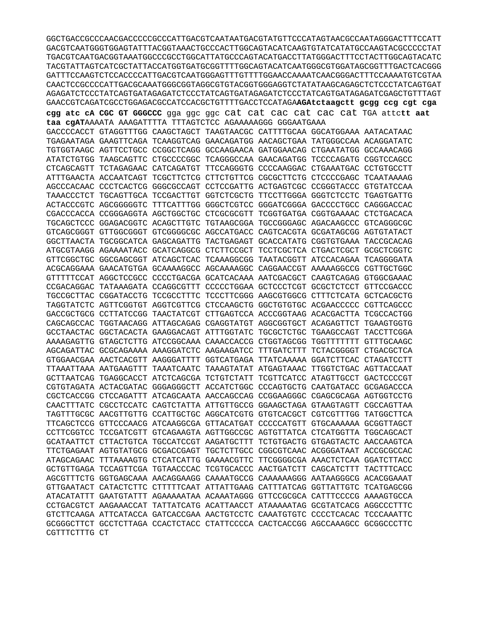AGAGATCTCCCTATCAGTGATAGAGATCTCCCTATCAGTGATAGAGATCTCCCTATCAGTGATAGAGATCTCCTATCAGTGTTTAGT GAACCGTCAGATCGCCTGGAGACGCCATCCACGCTGTTTTGACCTCCATAGAAGAtctaagctt gcgg ccg cgt cga cgg atc cA CGC GT GGGCCC gga ggc ggc cat cat cac cat cac cat TGA attett aat taa cgATAAAATA AAAGATTTTA TTTAGTCTCC AGAAAAAGGG GGGAATGAAA GACCCCACCT GTAGGTTTGG CAAGCTAGCT TAAGTAACGC CATTTTGCAA GGCATGGAAA AATACATAAC TGAGAATAGA GAAGTTCAGA TCAAGGTCAG GAACAGATGG AACAGCTGAA TATGGGCCAA ACAGGATATC TGTGGTAAGC AGTTCCTGCC CCGGCTCAGG GCCAAGAACA GATGGAACAG CTGAATATGG GCCAAACAGG ATATCTGTGG TAAGCAGTTC CTGCCCCGGC TCAGGGCCAA GAACAGATGG TCCCCAGATG CGGTCCAGCC CTCAGCAGTT TCTAGAGAAC CATCAGATGT TTCCAGGGTG CCCCAAGGAC CTGAAATGAC CCTGTGCCTT ATTTGAACTA ACCAATCAGT TCGCTTCTCG CTTCTGTTCG CGCGCTTCTG CTCCCCGAGC TCAATAAAAG AGCCCACAAC CCCTCACTCG GGGCGCCAGT CCTCCGATTG ACTGAGTCGC CCGGGTACCC GTGTATCCAA TAAACCCTCT TGCAGTTGCA TCCGACTTGT GGTCTCGCTG TTCCTTGGGA GGGTCTCCTC TGAGTGATTG ACTACCCGTC AGCGGGGGTC TTTCATTTGG GGGCTCGTCC GGGATCGGGA GACCCCTGCC CAGGGACCAC CGACCCACCA CCGGGAGGTA AGCTGGCTGC CTCGCGCGTT TCGGTGATGA CGGTGAAAAC CTCTGACACA TGCAGCTCCC GGAGACGGTC ACAGCTTGTC TGTAAGCGGA TGCCGGGAGC AGACAAGCCC GTCAGGGCGC GTCAGCGGGT GTTGGCGGGT GTCGGGGCGC AGCCATGACC CAGTCACGTA GCGATAGCGG AGTGTATACT GGCTTAACTA TGCGGCATCA GAGCAGATTG TACTGAGAGT GCACCATATG CGGTGTGAAA TACCGCACAG ATGCGTAAGG AGAAAATACC GCATCAGGCG CTCTTCCGCT TCCTCGCTCA CTGACTCGCT GCGCTCGGTC GTTCGGCTGC GGCGAGCGGT ATCAGCTCAC TCAAAGGCGG TAATACGGTT ATCCACAGAA TCAGGGGATA ACGCAGGAAA GAACATGTGA GCAAAAGGCC AGCAAAAGGC CAGGAACCGT AAAAAGGCCG CGTTGCTGGC GTTTTTCCAT AGGCTCCGCC CCCCTGACGA GCATCACAAA AATCGACGCT CAAGTCAGAG GTGGCGAAAC CCGACAGGAC TATAAAGATA CCAGGCGTTT CCCCCTGGAA GCTCCCTCGT GCGCTCTCCT GTTCCGACCC TGCCGCTTAC CGGATACCTG TCCGCCTTTC TCCCTTCGGG AAGCGTGGCG CTTTCTCATA GCTCACGCTG TAGGTATCTC AGTTCGGTGT AGGTCGTTCG CTCCAAGCTG GGCTGTGTGC ACGAACCCCC CGTTCAGCCC GACCGCTGCG CCTTATCCGG TAACTATCGT CTTGAGTCCA ACCCGGTAAG ACACGACTTA TCGCCACTGG CAGCAGCCAC TGGTAACAGG ATTAGCAGAG CGAGGTATGT AGGCGGTGCT ACAGAGTTCT TGAAGTGGTG GCCTAACTAC GGCTACACTA GAAGGACAGT ATTTGGTATC TGCGCTCTGC TGAAGCCAGT TACCTTCGGA AAAAGAGTTG GTAGCTCTTG ATCCGGCAAA CAAACCACCG CTGGTAGCGG TGGTTTTTTT GTTTGCAAGC AGCAGATTAC GCGCAGAAAA AAAGGATCTC AAGAAGATCC TTTGATCTTT TCTACGGGGT CTGACGCTCA GTGGAACGAA AACTCACGTT AAGGGATTTT GGTCATGAGA TTATCAAAAA GGATCTTCAC CTAGATCCTT TTAAATTAAA AATGAAGTTT TAAATCAATC TAAAGTATAT ATGAGTAAAC TTGGTCTGAC AGTTACCAAT GCTTAATCAG TGAGGCACCT ATCTCAGCGA TCTGTCTATT TCGTTCATCC ATAGTTGCCT GACTCCCCGT CGTGTAGATA ACTACGATAC GGGAGGGCTT ACCATCTGGC CCCAGTGCTG CAATGATACC GCGAGACCCA CGCTCACCGG CTCCAGATTT ATCAGCAATA AACCAGCCAG CCGGAAGGGC CGAGCGCAGA AGTGGTCCTG CAACTTTATC CGCCTCCATC CAGTCTATTA ATTGTTGCCG GGAAGCTAGA GTAAGTAGTT CGCCAGTTAA TAGTTTGCGC AACGTTGTTG CCATTGCTGC AGGCATCGTG GTGTCACGCT CGTCGTTTGG TATGGCTTCA TTCAGCTCCG GTTCCCAACG ATCAAGGCGA GTTACATGAT CCCCCATGTT GTGCAAAAAA GCGGTTAGCT CCTTCGGTCC TCCGATCGTT GTCAGAAGTA AGTTGGCCGC AGTGTTATCA CTCATGGTTA TGGCAGCACT GCATAATTCT CTTACTGTCA TGCCATCCGT AAGATGCTTT TCTGTGACTG GTGAGTACTC AACCAAGTCA TTCTGAGAAT AGTGTATGCG GCGACCGAGT TGCTCTTGCC CGGCGTCAAC ACGGGATAAT ACCGCGCCAC ATAGCAGAAC TTTAAAAGTG CTCATCATTG GAAAACGTTC TTCGGGGCGA AAACTCTCAA GGATCTTACC GCTGTTGAGA TCCAGTTCGA TGTAACCCAC TCGTGCACCC AACTGATCTT CAGCATCTTT TACTTTCACC AGCGTTTCTG GGTGAGCAAA AACAGGAAGG CAAAATGCCG CAAAAAAGGG AATAAGGGCG ACACGGAAAT GTTGAATACT CATACTCTTC CTTTTTCAAT ATTATTGAAG CATTTATCAG GGTTATTGTC TCATGAGCGG ATACATATTT GAATGTATTT AGAAAAATAA ACAAATAGGG GTTCCGCGCA CATTTCCCCG AAAAGTGCCA CCTGACGTCT AAGAAACCAT TATTATCATG ACATTAACCT ATAAAAATAG GCGTATCACG AGGCCCTTTC GTCTTCAAGA ATTCATACCA GATCACCGAA AACTGTCCTC CAAATGTGTC CCCCTCACAC TCCCAAATTC GCGGGCTTCT GCCTCTTAGA CCACTCTACC CTATTCCCCA CACTCACCGG AGCCAAAGCC GCGGCCCTTC CGTTTCTTTG CT

GGCTGACCGCCCAACGACCCCCGCCCATTGACGTCAATAATGACGTATGTTCCCATAGTAACGCCAATAGGGACTTTCCATT GACGTCAATGGGTGGAGTATTTACGGTAAACTGCCCACTTGGCAGTACATCAAGTGTATCATATGCCAAGTACGCCCCCTAT TGACGTCAATGACGGTAAATGGCCCGCCTGGCATTATGCCCAGTACATGACCTTATGGGACTTTCCTACTTGGCAGTACATC TACGTATTAGTCATCGCTATTACCATGGTGATGCGGTTTTGGCAGTACATCAATGGGCGTGGATAGCGGTTTGACTCACGGG CAACTCCGCCCCATTGACGCAAATGGGCGGTAGGCGTGTACGGTGGAGGTCTATATAAGCAGAGCTCTCCCTATCAGTGAT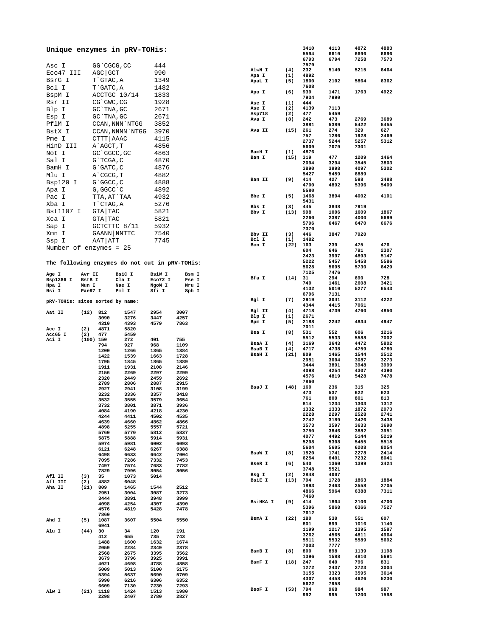| Unique enzymes in pRV-TOHis:                   |           |              |                  |              |              |       |                         |      | 3410         | 4113         | 4872         | 4883         |
|------------------------------------------------|-----------|--------------|------------------|--------------|--------------|-------|-------------------------|------|--------------|--------------|--------------|--------------|
|                                                |           |              |                  |              |              |       |                         |      | 5594         | 6610         | 6696         | 6696         |
|                                                |           |              |                  |              |              |       |                         |      | 6793         | 6794         | 7258         | 7573         |
| Asc I                                          |           | GG `CGCG, CC |                  | 444          |              |       |                         |      | 7579         |              |              |              |
| Eco47 III                                      |           | AGC GCT      |                  | 990          |              |       | AlwN I                  | (4)  | 232          | 5140         | 5215         | 6464         |
| BsrG I                                         |           | T`GTAC, A    |                  | 1349         |              |       | Apa I                   | (1)  | 4892         |              |              |              |
|                                                |           |              |                  |              |              |       | ApaL I                  | (5)  | 1800<br>7608 | 2102         | 5864         | 6362         |
| Bcl I                                          |           | T GATC, A    |                  | 1482         |              |       | Apo I                   | (6)  | 939          | 1471         | 1763         | 4922         |
| BspM I                                         |           |              | ACCTGC 10/14     | 1833         |              |       |                         |      | 7934         | 7990         |              |              |
| Rsr II                                         |           | CG`GWC, CG   |                  | 1928         |              |       | Asc I                   | (1)  | 444          |              |              |              |
| Blp I                                          |           | GC TNA, GC   |                  | 2671         |              |       | Ase I                   | (2)  | 4139         | 7113         |              |              |
|                                                |           |              |                  |              |              |       | Asp718                  | (2)  | 477          | 5459         |              |              |
| Esp I                                          |           | GC `TNA, GC  |                  | 2671         |              |       | Ava I                   | (8)  | 242          | 473          | 2769         | 3689         |
| PflM I                                         |           |              | CCAN, NNN `NTGG  | 3852         |              |       |                         |      | 3881         | 5389         | 5422         | 5455         |
| BstX I                                         |           |              | CCAN, NNNN `NTGG | 3970         |              |       | Ava II                  | (15) | 261          | 274          | 329          | 627          |
|                                                |           |              |                  |              |              |       |                         |      | 757          | 1286         | 1928         | 2469         |
| Pme I                                          |           | CTTT AAAC    |                  | 4115         |              |       |                         |      | 2737         | 5244         | 5257         | 5312         |
| HinD III                                       |           | A`AGCT, T    |                  | 4856         |              |       |                         |      | 5609         | 7079         | 7301         |              |
| Not I                                          |           | GC `GGCC, GC |                  | 4863         |              |       | BamH I                  | (1)  | 4876         |              |              |              |
|                                                |           |              |                  |              |              |       | Ban I                   | (15) | 319          | 477          | 1209         | 1464         |
| Sal I                                          |           | G`TCGA, C    |                  | 4870         |              |       |                         |      | 2094         | 3294         | 3545         | 3803         |
| BamH I                                         |           | G`GATC, C    |                  | 4876         |              |       |                         |      | 3890         | 3998         | 4097         | 5302         |
| Mlu I                                          |           | A`CGCG, T    |                  | 4882         |              |       |                         |      | 5427         | 5459         | 6889         |              |
| Bsp120 I                                       |           | G`GGCC, C    |                  | 4888         |              |       | Ban II                  | (9)  | 414          | 427          | 598          | 3488         |
|                                                |           |              |                  |              |              |       |                         |      | 4700         | 4892         | 5396         | 5409         |
| Apa I                                          |           | G, GGCC `C   |                  | 4892         |              |       |                         |      | 5580         |              |              |              |
| Pac I                                          |           |              | TTA, AT`TAA      | 4932         |              |       | Bbe I                   | (5)  | 1468         | 3894         | 4002         | 4101         |
| Xba I                                          |           | T`CTAG, A    |                  | 5276         |              |       |                         |      | 5431         |              |              |              |
|                                                |           |              |                  |              |              |       | Bbs I                   | (3)  | 445          | 3848         | 7919         |              |
| Bst1107 I                                      |           | GTA TAC      |                  | 5821         |              |       | Bbv I                   | (13) | 998          | 1006         | 1609         | 1867         |
| Xca I                                          |           | GTA TAC      |                  | 5821         |              |       |                         |      | 2260         | 2387         | 4000         | 5699         |
| Sap I                                          |           |              | GCTCTTC 8/11     | 5932         |              |       |                         |      | 5796         | 6467         | 6470         | 6676         |
|                                                |           |              |                  |              |              |       |                         |      | 7370         |              |              |              |
| Xmn I                                          |           |              | GAANN NNTTC      | 7540         |              |       | Bbv II                  | (3)  | 446          | 3847         | 7920         |              |
| Ssp I                                          |           | AAT   ATT    |                  | 7745         |              |       | Bcl I                   | (1)  | 1482         |              |              |              |
| Number of enzymes = 25                         |           |              |                  |              |              |       | Bcn I                   | (22) | 163          | 239          | 475          | 476          |
|                                                |           |              |                  |              |              |       |                         |      | 604          | 646          | 791          | 2307         |
|                                                |           |              |                  |              |              |       |                         |      | 2423         | 3997         | 4893         | 5147         |
| The following enzymes do not cut in pRV-TOHis: |           |              |                  |              |              |       |                         |      | 5222         | 5457         | 5458         | 5586         |
|                                                |           |              |                  |              |              |       |                         |      | 5628         | 5695         | 5730         | 6429         |
| Age I                                          | Avr II    |              | BsiC I           | BsiW I       |              | Bsm I |                         |      | 7125         | 7476         |              |              |
| Bsp1286 I                                      | BstB I    |              | Cla I            | Eco72 I      |              | Fse I | Bfa I                   | (14) | 31           | 294          | 690          | 728          |
| Hpa I                                          | Mun I     |              | Nae I            | NgoM I       |              | Nru I |                         |      | 740          | 1461         | 2608         | 3421         |
| Nsi I                                          | PaeR7 I   |              | Pml I            | Sfi I        |              | Sph I |                         |      | 4132         | 5010         | 5277         | 6543         |
|                                                |           |              |                  |              |              |       |                         |      | 6796         | 7131         |              |              |
| pRV-TOHis: sites sorted by name:               |           |              |                  |              |              |       | Bgl I                   | (7)  | 2919         | 3041         | 3112         | 4222         |
|                                                |           |              |                  |              |              |       |                         |      | 4344         | 4415         | 7061         |              |
| Aat II                                         | (12)      | 812          | 1547             | 2954         | 3007         |       | Bgl II                  | (4)  | 4718         | 4739         | 4760         | 4850         |
|                                                |           | 3090         | 3276             | 3447         | 4257         |       | Blp I                   | (1)  | 2671         |              |              |              |
|                                                |           | 4310         | 4393             | 4579         | 7863         |       | Bpm I                   | (5)  | 2188         | 2242         | 4834         | 4947         |
| Acc I                                          | (2)       | 4871         | 5820             |              |              |       |                         |      | 7011         |              |              |              |
| Acc65 I                                        | (2)       | 477          | 5459             |              |              |       | Bsa I                   | (8)  | 531          | 552          | 606          | 1216         |
| Aci I                                          | (100) 150 |              | 272              | 401          | 755          |       |                         |      | 5512<br>3169 | 5533         | 5588<br>4472 | 7002<br>5802 |
|                                                |           | 794          | 927              | 968          | 1109         |       | BsaA I<br><b>BsaB</b> I | (4)  | 4717         | 3643<br>4738 | 4759         | 4780         |
|                                                |           | 1200         | 1266             | 1365         | 1384         |       | <b>BsaH I</b>           | (4)  | 809          | 1465         | 1544         | 2512         |
|                                                |           | 1422         | 1539             | 1663         | 1728         |       |                         | (21) | 2951         | 3004         | 3087         | 3273         |
|                                                |           | 1795         | 1845             | 1865         | 1889         |       |                         |      | 3444         | 3891         | 3948         | 3999         |
|                                                |           | 1911         | 1931             | 2108         | 2146         |       |                         |      | 4098         | 4254         | 4307         | 4390         |
|                                                |           | 2156         | 2269             | 2297         | 2299         |       |                         |      | 4576         | 4819         | 5428         | 7478         |
|                                                |           | 2320         | 2449             | 2459         | 2692         |       |                         |      | 7860         |              |              |              |
|                                                |           | 2789         | 2806             | 2887         | 2915         |       | BsaJ I                  | (48) | 160          | 236          | 315          | 325          |
|                                                |           | 2927         | 2941             | 3108         | 3199         |       |                         |      | 473          | 537          | 622          | 623          |
|                                                |           | 3232         | 3336             | 3357         | 3418         |       |                         |      | 761          | 800          | 801          | 813          |
|                                                |           | 3532         | 3555             | 3579         | 3654         |       |                         |      | 814          | 1234         | 1303         | 1312         |
|                                                |           | 3732         | 3801             | 3871         | 3936         |       |                         |      | 1332         | 1333         | 1872         | 2073         |
|                                                |           | 4084         | 4190             | 4218         | 4230         |       |                         |      | 2228         | 2297         | 2528         | 2741         |
|                                                |           | 4244         | 4411             | 4502         | 4535         |       |                         |      | 2742         | 3189         | 3426         | 3438         |
|                                                |           | 4639         | 4660             | 4862         | 4866         |       |                         |      | 3573         | 3597         | 3633         | 3690         |
|                                                |           | 4898<br>5760 | 5255<br>5770     | 5557<br>5812 | 5721<br>5837 |       |                         |      | 3750         | 3846         | 3882         | 3951         |
|                                                |           | 5875         | 5888             | 5914         | 5931         |       |                         |      | 4077         | 4492         | 5144         | 5219         |
|                                                |           | 5974         | 5981             | 6002         | 6093         |       |                         |      | 5298         | 5308         | 5455         | 5518         |
|                                                |           | 6121         | 6248             | 6267         | 6388         |       |                         |      | 5604         | 5605         | 6208         | 8054         |
|                                                |           | 6498         | 6633             | 6642         | 7004         |       | BsaW I                  | (8)  | 1520         | 1741         | 2278         | 2414         |
|                                                |           | 7095         | 7286             | 7332         | 7453         |       |                         |      | 6254         | 6401         | 7232         | 8041         |
|                                                |           | 7497         | 7574             | 7683         | 7782         |       | BseR I                  | (6)  | 540          | 1360         | 1399         | 3424         |
|                                                |           | 7829         | 7996             | 8054         | 8056         |       |                         |      | 3748         | 5521         |              |              |
| Afl II                                         | (3)       | 35           | 1073             | 5014         |              |       | Bsg I                   | (2)  | 2848         | 4007         |              |              |
| Afl III                                        | (2)       | 4882         | 6048             |              |              |       | BsiE I                  | (13) | 794          | 1728         | 1863         | 1884         |
| Aha II                                         | (21)      | 809          | 1465             | 1544         | 2512         |       |                         |      | 1893         | 2463         | 2558         | 2705         |
|                                                |           | 2951         | 3004             | 3087         | 3273         |       |                         |      | 4866         | 5964         | 6388         | 7311         |
|                                                |           | 3444         | 3891             | 3948         | 3999         |       |                         |      | 7460         |              |              |              |
|                                                |           | 4098         | 4254             | 4307         | 4390         |       | <b>BSiHKA I</b>         | (9)  | 414          | 1804         | 2106         | 4700         |
|                                                |           | 4576         | 4819             | 5428         | 7478         |       |                         |      | 5396         | 5868         | 6366         | 7527         |
|                                                |           | 7860         |                  |              |              |       |                         |      | 7612         |              |              |              |
| Ahd I                                          | (5)       | 1087         | 3607             | 5504         | 5550         |       | BsmA I                  | (22) | 180          | 530          | 551          | 607          |
|                                                |           | 6941         |                  |              |              |       |                         |      | 801          | 899          | 1016         | 1140         |
| Alu I                                          | (44)      | 30           | 34               | 120          | 191          |       |                         |      | 1199         | 1217         | 1395         | 1587         |
|                                                |           | 412          | 655              | 735          | 743          |       |                         |      | 3262         | 4565         | 4811         | 4964         |
|                                                |           | 1488         | 1600             | 1632         | 1674         |       |                         |      | 5511         | 5532         | 5589         | 5692         |
|                                                |           | 2059         | 2284             | 2349         | 2378         |       |                         |      | 7003         | 7777         |              |              |
|                                                |           | 2568         | 2675             | 3395         | 3562         |       | BsmB I                  | (8)  | 800<br>1396  | 898          | 1139<br>4810 | 1198         |
|                                                |           | 3679         | 3796             | 3925         | 3991         |       | BsmF I                  | (18) | 247          | 1588<br>640  | 796          | 5691<br>831  |
|                                                |           | 4021         | 4698             | 4788         | 4858         |       |                         |      | 1272         | 2437         |              | 3004         |
|                                                |           | 5009         | 5013             | 5100         | 5175         |       |                         |      | 3155         | 3323         | 2723<br>3595 | 3614         |
|                                                |           | 5394         | 5637             | 5690         | 5709         |       |                         |      | 4307         | 4458         | 4626         | 5230         |
|                                                |           | 5990         | 6216             | 6306         | 6352         |       |                         |      | 5622         | 7958         |              |              |
|                                                |           |              |                  |              |              |       |                         |      |              |              |              |              |
|                                                |           | 6609         | 7130             | 7230         | 7293         |       |                         |      |              |              |              |              |
| Alw I                                          | (21)      | 1118<br>2298 | 1424<br>2407     | 1513<br>2780 | 1980<br>2827 |       | BsoF I                  | (53) | 794<br>992   | 968<br>995   | 984<br>1200  | 987<br>1598  |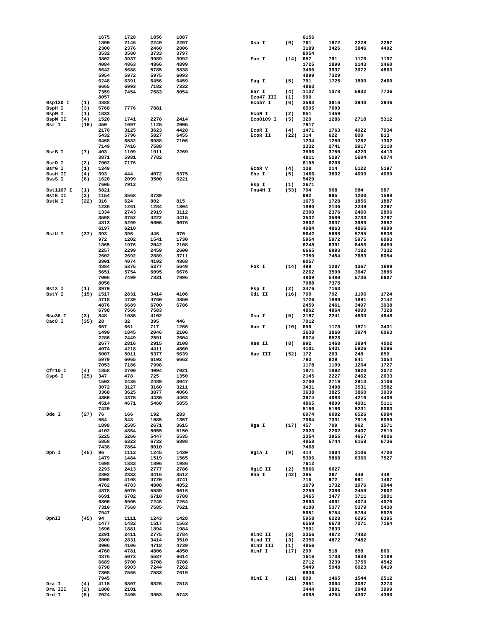|                  |            | 1675         | 1728         | 1856 | 1887 |           |      | 6156         |              |              |              |
|------------------|------------|--------------|--------------|------|------|-----------|------|--------------|--------------|--------------|--------------|
|                  |            | 1890         | 2146         | 2249 | 2297 | Dsa I     | (9)  | 761          | 1872         | 2228         | 2297         |
|                  |            | 2300         | 2376         | 2460 | 2806 |           |      | 3189         | 3426         | 3846         | 4492         |
|                  |            | 3532         | 3580         | 3733 | 3797 |           |      | 8054         |              |              |              |
|                  |            | 3802         | 3937         | 3989 | 3992 | Eae I     | (14) | 657          | 791          | 1176         | 1197         |
|                  |            | 4084         | 4863         | 4866 | 4899 |           |      | 1725         | 1890         | 2143         | 2460         |
|                  |            | 5642         | 5688         | 5785 | 5838 |           |      | 3496         | 3937         | 3972         | 4863         |
|                  |            |              |              |      |      |           |      |              |              |              |              |
|                  |            | 5954         | 5972         | 5975 | 6093 |           |      | 4899         | 7329         |              |              |
|                  |            | 6248         | 6391         | 6456 | 6459 | Eag I     | (5)  | 791          | 1725         | 1890         | 2460         |
|                  |            | 6665         | 6993         | 7182 | 7332 |           |      | 4863         |              |              |              |
|                  |            | 7359         | 7454         | 7683 | 8054 | Ear I     | (4)  | 1137         | 1378         | 5932         | 7736         |
|                  |            | 8057         |              |      |      | Eco47 III | (1)  | 990          |              |              |              |
| Bsp120 I         | (1)        | 4888         |              |      |      | Eco57 I   | (6)  | 3583         | 3916         | 3940         | 3946         |
| BspH I           | (3)        | 6768         | 7776         | 7881 |      |           |      | 6595         | 7609         |              |              |
| BspM I           | (1)        | 1833         |              |      |      | ECON I    | (2)  | 851          | 1459         |              |              |
| BspM II          | (4)        | 1520         | 1741         | 2278 | 2414 | EC00109 I | (5)  | 329          | 1286         | 2718         | 5312         |
| Bsr I            |            | 450          | 1097         | 1125 | 2005 |           |      | 7917         |              |              |              |
|                  | (19)       |              |              |      |      |           |      |              |              |              |              |
|                  |            | 2170         | 3125         | 3623 | 4428 | ECOR I    | (4)  | 1471         | 1763         | 4922         | 7934         |
|                  |            | 5432         | 5796         | 5827 | 6455 | ECOR II   | (22) | 314          | 622          | 800          | 813          |
|                  |            | 6468         | 6582         | 6988 | 7106 |           |      | 1234         | 1259         | 1282         | 1302         |
|                  |            | 7149         | 7416         | 7588 |      |           |      | 1332         | 2741         | 2917         | 3110         |
| BsrB I           | (7)        | 403          | 1109         | 1911 | 2269 |           |      | 3596         | 3750         | 4220         | 4413         |
|                  |            | 3871         | 5981         | 7782 |      |           |      | 4811         | 5297         | 5604         | 6074         |
| BsrD I           | (2)        | 7002         | 7176         |      |      |           |      | 6195         | 6208         |              |              |
| BsrG I           | (1)        | 1349         |              |      |      | ECOR V    | (4)  | 138          | 214          | 5122         | 5197         |
|                  |            |              | 444          |      |      |           |      |              |              |              |              |
| <b>BssH II</b>   | (4)        | 393          |              | 4072 | 5375 | Ehe I     | (5)  | 1466         | 3892         | 4000         | 4099         |
| BssS I           | (6)        | 1620         | 2099         | 3500 | 6221 |           |      | 5429         |              |              |              |
|                  |            | 7605         | 7912         |      |      | Esp I     | (1)  | 2671         |              |              |              |
| <b>Bst1107 I</b> | (1)        | 5821         |              |      |      | Fnu4H I   | (53) | 794          | 968          | 984          | 987          |
| <b>BStE II</b>   | (3)        | 1154         | 3568         | 3739 |      |           |      | 992          | 995          | 1200         | 1598         |
| BstN I           | (22)       | 316          | 624          | 802  | 815  |           |      | 1675         | 1728         | 1856         | 1887         |
|                  |            | 1236         | 1261         | 1284 | 1304 |           |      | 1890         | 2146         | 2249         | 2297         |
|                  |            | 1334         | 2743         | 2919 | 3112 |           |      | 2300         | 2376         | 2460         | 2806         |
|                  |            |              |              |      |      |           |      |              |              |              |              |
|                  |            | 3598         | 3752         | 4222 | 4415 |           |      | 3532         | 3580         | 3733         | 3797         |
|                  |            | 4813         | 5299         | 5606 | 6076 |           |      | 3802         | 3937         | 3989         | 3992         |
|                  |            | 6197         | 6210         |      |      |           |      | 4084         | 4863         | 4866         | 4899         |
| BstU I           | (37)       | 393          | 395          | 446  | 970  |           |      | 5642         | 5688         | 5785         | 5838         |
|                  |            | 972          | 1202         | 1541 | 1730 |           |      | 5954         | 5972         | 5975         | 6093         |
|                  |            | 1865         | 1976         | 2042 | 2108 |           |      | 6248         | 6391         | 6456         | 6459         |
|                  |            | 2257         | 2299         | 2459 | 2600 |           |      | 6665         | 6993         | 7182         | 7332         |
|                  |            |              |              |      |      |           |      |              |              |              |              |
|                  |            | 2602         | 2692         | 2889 | 3711 |           |      | 7359         | 7454         | 7683         | 8054         |
|                  |            | 3801         | 4074         | 4192 | 4868 |           |      | 8057         |              |              |              |
|                  |            | 4884         | 5375         | 5377 | 5649 | Fok I     | (14) | 499          | 1207         | 1367         | 1889         |
|                  |            | 5651         | 5754         | 6095 | 6676 |           |      | 2262         | 3590         | 3647         | 3886         |
|                  |            | 7006         | 7499         | 7831 | 7996 |           |      | 4809         | 5480         | 5736         | 6907         |
|                  |            | 8056         |              |      |      |           |      | 7088         | 7375         |              |              |
| BstX I           | (1)        | 3970         |              |      |      |           | (2)  | 3476         | 7163         |              |              |
|                  |            |              |              |      |      | Fsp I     |      |              |              |              |              |
| BstY I           | (15)       | 1517         | 2831         | 3414 | 4106 | Gdi II    | (16) | 790          | 792          | 1196         | 1724         |
|                  |            | 4718         | 4739         | 4760 | 4850 |           |      | 1726         | 1889         | 1891         | 2142         |
|                  |            |              |              | 6700 |      |           |      | 2459         | 2461         | 3497         | 3938         |
|                  |            | 4876         | 6689         |      | 6786 |           |      |              |              |              |              |
|                  |            | 6798         | 7566         | 7583 |      |           |      | 4862         | 4864         | 4900         | 7328         |
| Bsu36 I          | (3)        | 848          | 1085         | 4102 |      | Gsu I     | (5)  | 2187         | 2241         | 4833         | 4948         |
|                  |            |              |              |      |      |           |      |              |              |              |              |
| Cac8 I           | (35)       | 28           | 32           | 395  | 446  |           |      | 7012         |              |              |              |
|                  |            | 657          | 661          | 717  | 1266 | Hae I     | (10) | 659          | 1178         | 1871         | 3431         |
|                  |            | 1490         | 1845         | 2046 | 2106 |           |      | 3638         | 3860         | 3974         | 6063         |
|                  |            | 2286         | 2449         | 2591 | 2604 |           |      | 6074         | 6526         |              |              |
|                  |            | 2677         | 2816         | 2915 | 3108 | Hae II    | (8)  | 992          | 1468         | 3894         | 4002         |
|                  |            | 4074         | 4218         | 4411 | 4860 |           |      | 4101         | 5431         | 5926         | 6296         |
|                  |            | 5007         | 5011         | 5377 | 5639 | Hae III   | (52) | 172          | 203          | 248          | 659          |
|                  |            | 5979         | 6065         | 6102 | 6662 |           |      | 793          | 829          | 841          | 1054         |
|                  |            | 7053         | 7186         | 7998 |      |           |      | 1178         | 1199         | 1264         | 1727         |
|                  |            |              |              |      |      |           |      |              |              |              |              |
| Cfr10 I          | (4)        | 1858         | 2700         | 4094 | 7021 |           |      | 1871         | 1892         | 1920         | 2072         |
| Csp6 I           | (25)       | 347          | 478          | 725  | 1350 |           |      | 2145         | 2227         | 2462         | 2633         |
|                  |            | 1502         | 2436         | 2489 | 3047 |           |      | 2700         | 2719         | 2913         | 3106         |
|                  |            | 3072         | 3127         | 3160 | 3211 |           |      | 3431         | 3498         | 3531         | 3582         |
|                  |            | 3368         | 3625         | 3877 | 4066 |           |      | 3638         | 3825         | 3860         | 3939         |
|                  |            | 4350         | 4375         | 4430 | 4463 |           |      | 3974         | 4083         | 4216         | 4409         |
|                  |            | 4514         | 4671         | 5460 | 5855 |           |      | 4865         | 4890         | 4901         | 5111         |
|                  |            | 7420         |              |      |      |           |      | 5156         | 5186         | 5231         | 6063         |
| Dde I            | (27)       | 76           | 166          | 192  | 283  |           |      | 6074         | 6092         | 6526         | 6984         |
|                  |            | 554          | 848          | 1085 | 1357 |           |      | 7064         | 7331         | 7918         | 8059         |
|                  |            | 1898         | 2585         | 2671 | 3615 | Hga I     | (17) | 457          | 709          | 962          | 1571         |
|                  |            | 4102         | 4854         |      | 5150 |           |      | 2023         | 2262         | 2407         | 2519         |
|                  |            |              |              | 5055 |      |           |      |              |              |              |              |
|                  |            | 5225         | 5266         | 5447 | 5535 |           |      | 3354         | 3955         | 4657         | 4826         |
|                  |            | 5858         | 6323         | 6732 | 6898 |           |      | 4858         | 5744         | 6158         | 6736         |
|                  |            | 7438         | 7864         | 8010 |      |           |      | 7468         |              |              |              |
| Dpn I            | $(45)$ 96  |              | 1113         | 1245 | 1430 | HgiA I    | (9)  | 414          | 1804         | 2106         | 4700         |
|                  |            | 1479         | 1484         | 1519 | 1565 |           |      | 5396         | 5868         | 6366         | 7527         |
|                  |            | 1698         | 1883         | 1896 | 1986 |           |      | 7612         |              |              |              |
|                  |            | 2293         | 2413         | 2777 | 2786 | HgiE II   | (2)  | 5866         | 6627         |              |              |
|                  |            | 2802         | 2833         | 3416 | 3512 | Hha I     | (42) | 395          | 397          | 446          | 448          |
|                  |            |              |              |      |      |           |      |              |              |              |              |
|                  |            | 3908         | 4108         | 4720 | 4741 |           |      | 715          | 972          | 991          | 1467         |
|                  |            | 4762         | 4783         | 4808 | 4852 |           |      | 1679         | 1732         | 1976         | 2044         |
|                  |            | 4878         | 5075         | 5589 | 6616 |           |      | 2259         | 2386         | 2459         | 2602         |
|                  |            | 6691         | 6702         | 6710 | 6788 |           |      | 3465         | 3477         | 3711         | 3801         |
|                  |            | 6800         | 6905         | 7246 | 7264 |           |      | 3893         | 4001         | 4074         | 4076         |
|                  |            | 7310         | 7568         | 7585 | 7621 |           |      | 4100         | 5377         | 5379         | 5430         |
|                  |            | 7947         |              |      |      |           |      | 5651         | 5754         | 5784         | 5925         |
| DpnII            | (45)       | 94           | 1111         | 1243 | 1428 |           |      | 5958         | 6228         | 6295         | 6395         |
|                  |            |              |              |      |      |           |      |              |              |              |              |
|                  |            | 1477         | 1482         | 1517 | 1563 |           |      | 6569         | 6678         | 7071         | 7164         |
|                  |            | 1696         | 1881         | 1894 | 1984 |           |      | 7501         | 7833         |              |              |
|                  |            | 2291         | 2411         | 2775 | 2784 | HinC II   | (3)  | 2356         | 4872         | 7482         |              |
|                  |            | 2800         | 2831         | 3414 | 3510 | Hind II   | (3)  | 2356         | 4872         | 7482         |              |
|                  |            | 3906         | 4106         | 4718 | 4739 | HinD III  | (1)  | 4856         |              |              |              |
|                  |            | 4760         | 4781         | 4806 | 4850 | Hinf I    | (17) | 299          | 518          | 858          | 869          |
|                  |            | 4876         | 5073         | 5587 | 6614 |           |      | 1616         | 1738         | 1938         | 2189         |
|                  |            |              | 6700         | 6708 | 6786 |           |      | 2712         | 3239         | 3755         | 4542         |
|                  |            | 6689         |              |      |      |           |      |              |              |              |              |
|                  |            | 6798         | 6903         | 7244 | 7262 |           |      | 5449         | 5948         | 6023         | 6419         |
|                  |            | 7308         | 7566         | 7583 | 7619 |           |      | 6936         |              |              |              |
|                  |            | 7945         |              |      |      | HinI I    | (21) | 809          | 1465         | 1544         | 2512         |
| Dra I            | (4)        | 4115         | 6807         | 6826 | 7518 |           |      | 2951         | 3004         | 3087         | 3273         |
| Dra III<br>Drd I | (2)<br>(5) | 1808<br>2024 | 2101<br>2405 | 3953 | 5743 |           |      | 3444<br>4098 | 3891<br>4254 | 3948<br>4307 | 3999<br>4390 |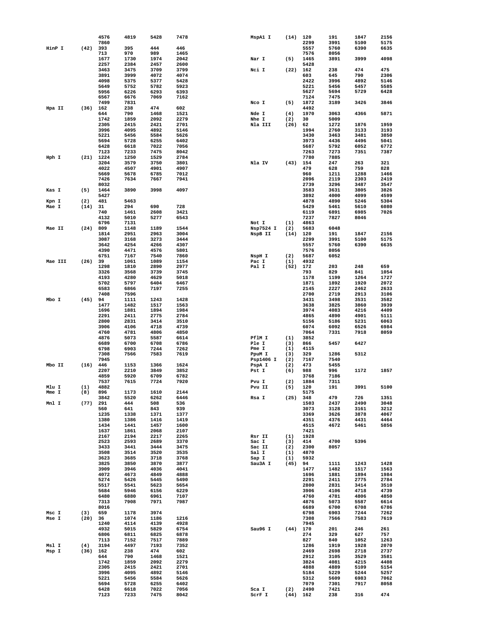|         |      | 4576         | 4819         | 5428         | 7478         | MspA1 I        | (14)        | 120          | 191          | 1847         | 2156         |
|---------|------|--------------|--------------|--------------|--------------|----------------|-------------|--------------|--------------|--------------|--------------|
|         |      | 7860         |              |              |              |                |             | 2299         | 3991         | 5100         | 5175         |
| HinP I  | (42) | 393<br>713   | 395<br>970   | 444<br>989   | 446<br>1465  |                |             | 5557<br>7576 | 5760<br>8056 | 6390         | 6635         |
|         |      | 1677         | 1730         | 1974         | 2042         | Nar I          | (5)         | 1465         | 3891         | 3999         | 4098         |
|         |      | 2257         | 2384         | 2457         | 2600         |                |             | 5428         |              |              |              |
|         |      | 3463         | 3475         | 3709         | 3799         | Nci I          | (22)        | 162          | 238          | 474          | 475          |
|         |      | 3891         | 3999         | 4072         | 4074         |                |             | 603          | 645          | 790          | 2306         |
|         |      | 4098         | 5375         | 5377         | 5428         |                |             | 2422         | 3996         | 4892         | 5146         |
|         |      | 5649         | 5752         | 5782         | 5923         |                |             | 5221         | 5456         | 5457         | 5585         |
|         |      | 5956         | 6226         | 6293         | 6393         |                |             | 5627         | 5694         | 5729         | 6428         |
|         |      | 6567         | 6676         | 7069         | 7162         |                |             | 7124         | 7475         |              |              |
|         |      | 7499         | 7831         |              |              | Nco I          | (5)         | 1872         | 3189         | 3426         | 3846         |
| Hpa II  | (36) | 162          | 238          | 474          | 602          |                |             | 4492         |              |              |              |
|         |      | 644<br>1742  | 790<br>1859  | 1468<br>2092 | 1521<br>2279 | Nde I<br>Nhe I | (4)         | 1970<br>30   | 3063<br>5009 | 4366         | 5871         |
|         |      | 2305         | 2415         | 2421         | 2701         | Nla III        | (2)<br>(26) | 62           | 1272         | 1876         | 1959         |
|         |      | 3996         | 4095         | 4892         | 5146         |                |             | 1994         | 2760         | 3133         | 3193         |
|         |      | 5221         | 5456         | 5584         | 5626         |                |             | 3430         | 3463         | 3481         | 3850         |
|         |      | 5694         | 5728         | 6255         | 6402         |                |             | 3973         | 4436         | 4496         | 5041         |
|         |      | 6428         | 6618         | 7022         | 7056         |                |             | 5687         | 5792         | 6052         | 6772         |
|         |      | 7123         | 7233         | 7475         | 8042         |                |             | 7263         | 7273         | 7351         | 7387         |
| Hph I   | (21) | 1224         | 1250         | 1529         | 2784         |                |             | 7780         | 7885         |              |              |
|         |      | 3204         | 3579         | 3750         | 3801         | Nla IV         | (43)        | 154          | 247          | 263          | 321          |
|         |      | 4022         | 4507         | 4901         | 4907         |                |             | 479          | 628          | 759          | 828          |
|         |      | 5669         | 5678         | 6785         | 7012         |                |             | 960          | 1211         | 1288         | 1466         |
|         |      | 7426         | 7634         | 7667         | 7941         |                |             | 2096         | 2119         | 2303         | 2419         |
|         |      | 8032<br>1464 |              | 3998         | 4097         |                |             | 2739<br>3583 | 3296         | 3487         | 3547<br>3826 |
| Kas I   | (5)  | 5427         | 3890         |              |              |                |             | 3892         | 3631<br>4000 | 3805<br>4099 | 4599         |
| Kpn I   | (2)  | 481          | 5463         |              |              |                |             | 4878         | 4890         | 5246         | 5304         |
| Mae I   | (14) | 31           | 294          | 690          | 728          |                |             | 5429         | 5461         | 5610         | 6080         |
|         |      | 740          | 1461         | 2608         | 3421         |                |             | 6119         | 6891         | 6985         | 7026         |
|         |      | 4132         | 5010         | 5277         | 6543         |                |             | 7237         | 7827         | 8046         |              |
|         |      | 6796         | 7131         |              |              | Not I          | (1)         | 4863         |              |              |              |
| Mae II  | (24) | 809          | 1148         | 1189         | 1544         | Nsp7524 I      | (2)         | 5683         | 6048         |              |              |
|         |      | 1814         | 2951         | 2963         | 3004         | NspB II        | (14)        | 120          | 191          | 1847         | 2156         |
|         |      | 3087         | 3168         | 3273         | 3444         |                |             | 2299         | 3991         | 5100         | 5175         |
|         |      | 3642         | 4254         | 4266         | 4307         |                |             | 5557         | 5760         | 6390         | 6635         |
|         |      | 4390         | 4471         | 4576         | 5801         |                |             | 7576         | 8056         |              |              |
|         |      | 6751         | 7167         | 7540         | 7860         | NspH I         | (2)         | 5687         | 6052         |              |              |
| Mae III | (26) | 39           | 1061         | 1089         | 1154         | Pac I          | (1)         | 4932         |              |              |              |
|         |      | 1298         | 1810         | 2890         | 2977         | Pal I          | (52)        | 172          | 203          | 248          | 659          |
|         |      | 3326<br>4193 | 3568<br>4280 | 3739<br>4629 | 3745<br>5018 |                |             | 793<br>1178  | 829<br>1199  | 841<br>1264  | 1054<br>1727 |
|         |      | 5702         | 5797         | 6404         | 6467         |                |             | 1871         | 1892         | 1920         | 2072         |
|         |      | 6583         | 6866         | 7197         | 7255         |                |             | 2145         | 2227         | 2462         | 2633         |
|         |      | 7408         | 7596         |              |              |                |             | 2700         | 2719         | 2913         | 3106         |
| Mbo I   | (45) | 94           | 1111         | 1243         | 1428         |                |             | 3431         | 3498         | 3531         | 3582         |
|         |      | 1477         | 1482         | 1517         | 1563         |                |             | 3638         | 3825         | 3860         | 3939         |
|         |      | 1696         | 1881         | 1894         | 1984         |                |             | 3974         | 4083         | 4216         | 4409         |
|         |      | 2291         | 2411         | 2775         | 2784         |                |             | 4865         | 4890         | 4901         | 5111         |
|         |      | 2800         | 2831         | 3414         | 3510         |                |             | 5156         | 5186         | 5231         | 6063         |
|         |      | 3906         | 4106         | 4718         | 4739         |                |             | 6074         | 6092         | 6526         | 6984         |
|         |      | 4760         | 4781         | 4806         | 4850         |                |             | 7064         | 7331         | 7918         | 8059         |
|         |      | 4876         | 5073         | 5587         | 6614         | PflM I         | (1)         | 3852         |              |              |              |
|         |      | 6689<br>6798 | 6700<br>6903 | 6708<br>7244 | 6786<br>7262 | Ple I<br>Pme I | (3)<br>(1)  | 866<br>4115  | 5457         | 6427         |              |
|         |      | 7308         | 7566         | 7583         | 7619         | PpuM I         | (3)         | 329          | 1286         | 5312         |              |
|         |      | 7945         |              |              |              | Psp1406 I      | (2)         | 7167         | 7540         |              |              |
| Mbo II  | (16) | 446          | 1153         | 1366         | 1624         | PspA I         | (2)         | 473          | 5455         |              |              |
|         |      | 2207         | 2210         | 3849         | 3852         | Pst I          | (6)         | 988          | 996          | 1172         | 1857         |
|         |      | 4859         | 5920         | 6709         | 6782         |                |             | 3768         | 7186         |              |              |
|         |      | 7537         | 7615         | 7724         | 7920         | Pvu I          | (2)         | 1884         | 7311         |              |              |
| Mlu I   | (1)  | 4882         |              |              |              | Pvu II         | (5)         | 120          | 191          | 3991         | 5100         |
| Mme I   | (8)  | 896          | 1173         | 1610         | 2144         |                |             | 5175         |              |              |              |
|         |      | 3842         | 5520         | 6262         | 6446         | Rsa I          | (25)        | 348          | 479          | 726          | 1351         |
| Mnl I   | (77) | 291<br>560   | 444          | 508          | 536<br>939   |                |             | 1503         | 2437         | 2490         | 3048<br>3212 |
|         |      | 1235         | 641<br>1338  | 843<br>1371  | 1377         |                |             | 3073<br>3369 | 3128<br>3626 | 3161<br>3878 | 4067         |
|         |      | 1380         | 1386         | 1416         | 1419         |                |             | 4351         | 4376         | 4431         | 4464         |
|         |      | 1434         | 1441         | 1457         | 1600         |                |             | 4515         | 4672         | 5461         | 5856         |
|         |      | 1637         | 1861         | 2068         | 2107         |                |             | 7421         |              |              |              |
|         |      | 2167         | 2194         | 2217         | 2265         | Rsr II         | (1)         | 1928         |              |              |              |
|         |      | 2523         | 2593         | 2689         | 3370         | Sac I          | (3)         | 414          | 4700         | 5396         |              |
|         |      | 3433         | 3441         | 3444         | 3475         | Sac II         | (2)         | 2300         | 8057         |              |              |
|         |      | 3508         | 3514         | 3520         | 3535         | Sal I          | (1)         | 4870         |              |              |              |
|         |      | 3623         | 3685         | 3718         | 3768         | Sap I          | (1)         | 5932         |              |              |              |
|         |      | 3825         | 3850         | 3870         | 3877         | Sau3A I        | (45)        | 94           | 1111         | 1243         | 1428         |
|         |      | 3909<br>4072 | 3946<br>4673 | 4036<br>4849 | 4041<br>4888 |                |             | 1477<br>1696 | 1482<br>1881 | 1517<br>1894 | 1563<br>1984 |
|         |      | 5274         | 5426         | 5445         | 5490         |                |             | 2291         | 2411         | 2775         | 2784         |
|         |      | 5517         | 5541         | 5623         | 5654         |                |             | 2800         | 2831         | 3414         | 3510         |
|         |      | 5684         | 5946         | 6156         | 6229         |                |             | 3906         | 4106         | 4718         | 4739         |
|         |      | 6480         | 6880         | 6961         | 7107         |                |             | 4760         | 4781         | 4806         | 4850         |
|         |      | 7313         | 7908         | 7971         | 7987         |                |             | 4876         | 5073         | 5587         | 6614         |
|         |      | 8016         |              |              |              |                |             | 6689         | 6700         | 6708         | 6786         |
| Msc I   | (3)  | 659          | 1178         | 3974         |              |                |             | 6798         | 6903         | 7244         | 7262         |
| Mse I   | (20) | 36           | 1074         | 1186         | 1216         |                |             | 7308         | 7566         | 7583         | 7619         |
|         |      | 1240         | 4114         | 4139         | 4928         |                |             | 7945         |              |              |              |
|         |      | 4932         | 5015         | 5829         | 6754         | Sau96 I        | (44)        | 170          | 201          | 246          | 261          |
|         |      | 6806         | 6811         | 6825<br>7517 | 6878         |                |             | 274<br>827   | 329          | 627<br>1052  | 757          |
| Msl I   | (4)  | 7113<br>3194 | 7152<br>4497 | 7193         | 7889<br>7352 |                |             | 1286         | 840<br>1919  | 1928         | 1263<br>2070 |
| Msp I   | (36) | 162          | 238          | 474          | 602          |                |             | 2469         | 2698         | 2718         | 2737         |
|         |      | 644          | 790          | 1468         | 1521         |                |             | 2912         | 3105         | 3529         | 3581         |
|         |      | 1742         | 1859         | 2092         | 2279         |                |             | 3824         | 4081         | 4215         | 4408         |
|         |      | 2305         | 2415         | 2421         | 2701         |                |             | 4888         | 4889         | 5109         | 5154         |
|         |      | 3996         | 4095         | 4892         | 5146         |                |             | 5184         | 5229         | 5244         | 5257         |
|         |      | 5221         | 5456         | 5584         | 5626         |                |             | 5312         | 5609         | 6983         | 7062         |
|         |      | 5694         | 5728         | 6255         | 6402         |                |             | 7079         | 7301         | 7917         | 8058         |
|         |      | 6428         | 6618         | 7022         | 7056         | Sca I          | (2)         | 2490         | 7421         |              |              |
|         |      | 7123         | 7233         | 7475         | 8042         | SCrF I         | (44)        | 162          | 238          | 316          | 474          |